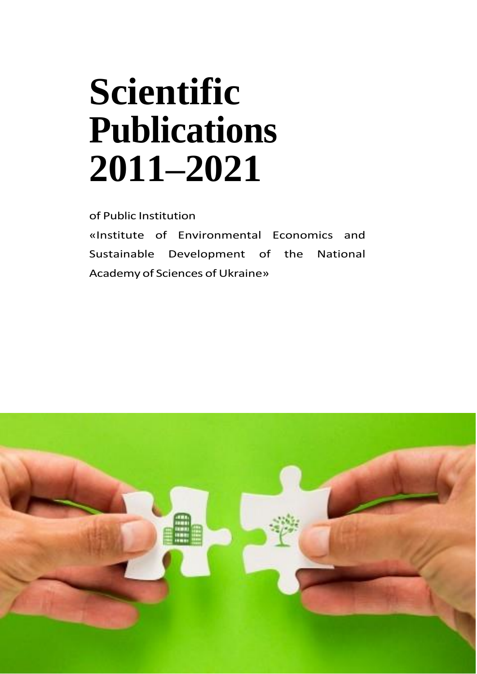# **Scientific Publications 2011–2021**

of Public Institution

«Institute of Environmental Economics and Sustainable Development of the National Academy of Sciences of Ukraine»

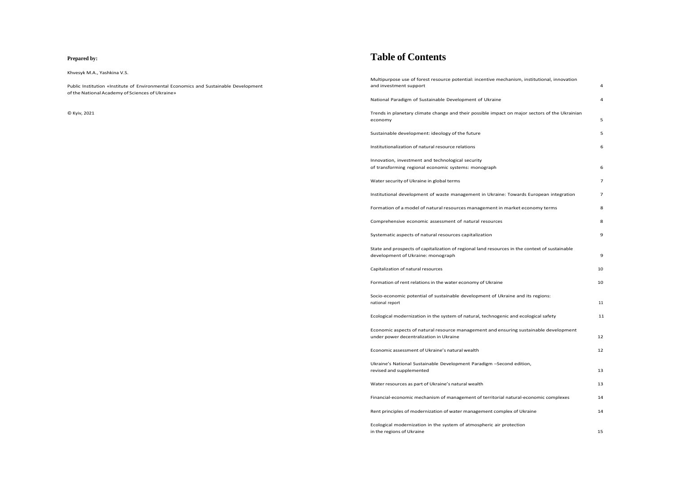#### **Prepared by:**

Public Institution «Institute of Environmental Economics and Sustainable Development of the National Academy of Sciences of Ukraine»

Khvesyk M.A., Yashkina V.S.

© Kyiv, 2021

## **Table of Contents**

Trends in planetary climate change and their possible impact or [economy](#page-3-0) 5

Sustainable [development:](#page-3-0) ideology of the future

[Multipurpose](#page-2-0) use of forest resource potential: incentive mechanism, institutional, innovation and [investment](#page-2-0) support 4

National Paradigm of Sustainable [Development](#page-2-0) of Ukraine 4

[Institutionalization](#page-3-0) of natural resource relations 6

Innovation, investment and [technological](#page-3-0) security of [transforming](#page-3-0) regional economic systems: monograph 6

Water security of Ukraine in global terms

Institutional development of waste [management](#page-4-0) in Ukraine: To

Formation of a model of natural resources management in ma

[Comprehensive](#page-4-0) economic assessment of natural resources

Economic aspects of natural resource management and ensur under power [decentralization](#page-6-0) in Ukraine 12

Systematic aspects of natural resources [capitalization](#page-5-0) 9

State and prospects of capitalization of regional land resources [development](#page-5-0) of Ukraine: monograph

[Capitalization](#page-5-0) of natural resources

Formation of rent relations in the water economy of Ukraine

[Socio-economic](#page-6-0) potential of sustainable development of Ukrain [national](#page-6-0) report

Ecological [modernization](#page-6-0) in the system of natural, technogenic

Economic [assessment](#page-6-0) of Ukraine's natural wealth 12

Ukraine's National Sustainable [Development](#page-7-0) Paradigm -Secon revised and [supplemented](#page-7-0)

Water [resources](#page-7-0) as part of Ukraine's natural wealth

[Financial-economic](#page-7-0) mechanism of management of territorial na

Rent principles of [modernization](#page-7-0) of water management comple

Ecological [modernization](#page-8-0) in the system of atmospheric air prot in the regions of [Ukraine](#page-8-0) 15

|                                   | 4  |
|-----------------------------------|----|
|                                   | 4  |
| In major sectors of the Ukrainian |    |
|                                   | 5  |
|                                   | 5  |
|                                   | 6  |
|                                   | 6  |
|                                   | 7  |
| owards European integration       | 7  |
| arket economy terms               | 8  |
|                                   | 8  |
|                                   | 9  |
| in the context of sustainable     | 9  |
|                                   | 10 |
|                                   | 10 |
| ne and its regions:               |    |
|                                   | 11 |
| and ecological safety             | 11 |
| ring sustainable development      | 12 |
|                                   | 12 |
| d edition,                        |    |
|                                   | 13 |
|                                   | 13 |
| atural-economic complexes         | 14 |
| x of Ukraine                      | 14 |
| tection                           |    |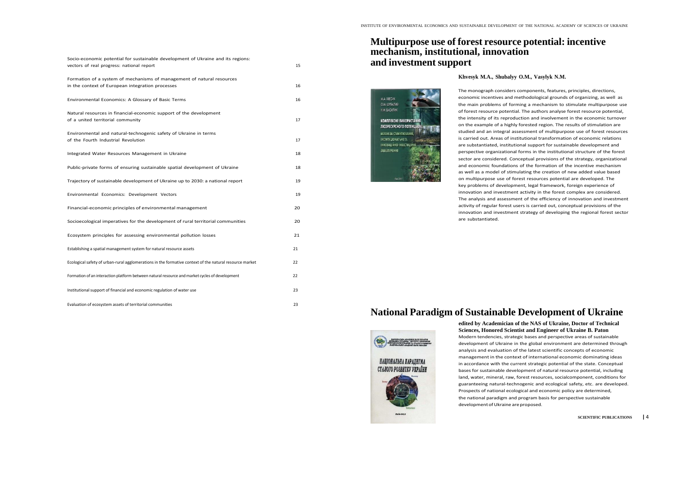<span id="page-2-0"></span>

| Socio-economic potential for sustainable development of Ukraine and its regions:<br>vectors of real progress: national report | 15 |
|-------------------------------------------------------------------------------------------------------------------------------|----|
| Formation of a system of mechanisms of management of natural resources<br>in the context of European integration processes    | 16 |
| Environmental Economics: A Glossary of Basic Terms                                                                            | 16 |
| Natural resources in financial-economic support of the development<br>of a united territorial community                       | 17 |
| Environmental and natural-technogenic safety of Ukraine in terms<br>of the Fourth Industrial Revolution                       | 17 |
| Integrated Water Resources Management in Ukraine                                                                              | 18 |
| Public-private forms of ensuring sustainable spatial development of Ukraine                                                   | 18 |
| Trajectory of sustainable development of Ukraine up to 2030: a national report                                                | 19 |
| Environmental Economics: Development Vectors                                                                                  | 19 |
| Financial-economic principles of environmental management                                                                     | 20 |
| Socioecological imperatives for the development of rural territorial communities                                              | 20 |
| Ecosystem principles for assessing environmental pollution losses                                                             | 21 |
| Establishing a spatial management system for natural resource assets                                                          | 21 |
| Ecological safety of urban-rural agglomerations in the formative context of the natural resource market                       | 22 |
| Formation of an interaction platform between natural resource and market cycles of development                                | 22 |
| Institutional support of financial and economic regulation of water use                                                       | 23 |
| Evaluation of ecosystem assets of territorial communities                                                                     | 23 |

## **Multipurpose use of forest resource potential: incentive mechanism, institutional, innovation and investmentsupport**

**edited by Academician of the NAS of Ukraine, Doctor of Technical Sciences, Honored Scientist and Engineer of Ukraine B. Paton** Modern tendencies, strategic bases and perspective areas of sustainable development of Ukraine in the global environment are determined through analysis and evaluation of the latest scientific concepts of economic management in the context of international economic dominating ideas in accordance with the current strategic potential of the state. Conceptual bases for sustainable development of natural resource potential, including land, water, mineral, raw, forest resources, socialcomponent, conditions for guaranteeing natural-technogenic and ecological safety, etc. are developed. Prospects of national ecological and economic policy are determined, the national paradigm and program basis for perspective sustainable development of Ukraine are proposed.

### **Khvesyk M.A., Shubalyy O.M., Vasylyk N.M.**



The monograph considers components, features, principles, directions, economic incentives and methodological grounds of organizing, as well as the main problems of forming a mechanism to stimulate multipurpose use of forest resource potential. The authors analyse forest resource potential, the intensity of its reproduction and involvement in the economic turnover on the example of a highly forested region. The results of stimulation are studied and an integral assessment of multipurpose use of forest resources is carried out. Areas of institutional transformation of economic relations are substantiated, institutional support for sustainable development and perspective organizational forms in the institutional structure of the forest sector are considered. Conceptual provisions of the strategy, organizational and economic foundations of the formation of the incentive mechanism as well as a model of stimulating the creation of new added value based on multipurpose use of forest resources potential are developed. The key problems of development, legal framework, foreign experience of innovation and investment activity in the forest complex are considered. The analysis and assessment of the efficiency of innovation and investment activity of regular forest users is carried out, conceptual provisions of the innovation and investment strategy of developing the regional forest sector

are substantiated.

## **National Paradigm of Sustainable Development of Ukraine**



**SCIENTIFIC PUBLICATIONS |** 4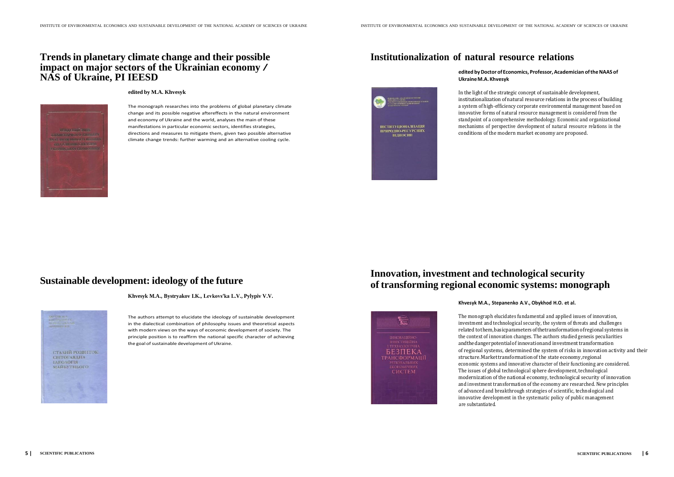## <span id="page-3-0"></span>**Trendsin planetary climate change and their possible impact on major sectors of the Ukrainian economy / NAS of Ukraine, PI IEESD**

**edited by M.A. Khvesyk**

The authors attempt to elucidate the ideology of sustainable development in the dialectical combination of philosophy issues and theoretical aspects with modern views on the ways of economic development of society. The principle position is to reaffirm the national specific character of achieving the goal of sustainable development of Ukraine.

The monograph researches into the problems of global planetary climate change and its possible negative aftereffects in the natural environment and economy of Ukraine and the world, analyses the main of these manifestations in particular economic sectors, identifies strategies, directions and measures to mitigate them, given two possible alternative climate change trends: further warming and an alternative cooling cycle.



## **Sustainable development: ideology of the future**

**Khvesyk M.A., Bystryakov I.K., Levkovsʹka L.V., Pylypiv V.V.**



## **Institutionalization of natural resource relations**

#### **edited byDoctor ofEconomics, Professor,Academician oftheNAAS of**

## **UkraineM.A. Khvesyk**

In the light of the strategic concept of sustainable development, institutionalizationof natural resource relations in the process of building a system of high-efficiency corporate environmental management based on innovative forms of natural resource management is considered from the standpoint of a comprehensive methodology. Economic and organizational mechanisms of perspective development of natural resource relations in the conditions of the modern market economy are proposed.

## **Innovation, investment and technological security of transforming regional economic systems: monograph**



**Khvesyk M.A., Stepanenko A.V., Obykhod H.O. et al.**

The monograph elucidates fundamental and applied issues of innovation, investment and technological security, the system of threats and challenges related tothem,basicparametersofthetransformationof regionalsystems in the context of innovation changes. The authors studied genesis peculiarities andthedangerpotentialof innovationand investmenttransformation of regional systems, determined the system of risks in innovation activity and their structure.Markettransformationof the state economy,regional economic systems and innovative character of their functioning are considered. The issues of global technological sphere development, technological modernization of the national economy, technological security of innovation and investment transformation of the economy are researched. New principles of advanced and breakthrough strategies of scientific, technological and innovative development in the systematic policy of public management are substantiated.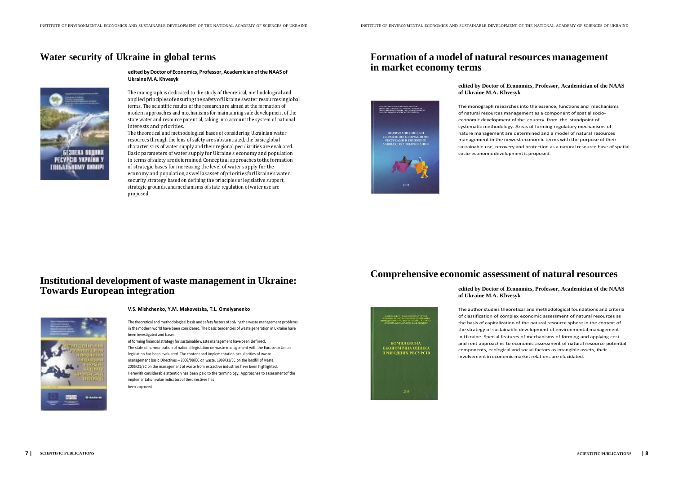## <span id="page-4-0"></span>**Water security of Ukraine in global terms**



**edited byDoctor ofEconomics, Professor,Academician oftheNAAS of UkraineM.A. Khvesyk**

The monograph is dedicated to the study of theoretical, methodological and applied principlesofensuringthe safetyofUkraine'swater resourcesinglobal terms. The scientific results of the research are aimed at the formation of modern approaches and mechanisms for maintaining safe development of the state water and resource potential, taking into account the system of national interests and priorities.

The theoretical and methodological bases of considering Ukrainian water resources through the lens of safety are substantiated, the basic global characteristics of water supply and their regional peculiarities are evaluated. Basic parameters of water supply for Ukraine's economy and population in termsofsafety aredetermined.Conceptual approaches totheformation of strategic bases for increasing the level of water supply for the economy and population,aswellasasset ofprioritiesforUkraine'swater security strategy based on defining the principles of legislative support, strategic grounds, andmechanisms of state regulation of water use are proposed.

of forming financial strategy for sustainable waste management have been defined. The state of harmonization of national legislation on waste management with the European Union legislation has been evaluated. The content and implementation peculiarities of waste management basic Directives – 2008/98/EC on waste, 1999/31/EC on the landfill of waste, 2006/21/EC on the management of waste from extractive industries have been highlighted. Herewith considerable attention has been paid to the terminology. Approaches to assessmentof the implementation value indicators of the directives has been approved.

## **Institutional development of waste management in Ukraine: Towards European integration**



#### **V.S. Mishchenko, Y.M. Makovetska, T.L. Omelyanenko**

The author studies theoretical and methodological foundations and criteria of classification of complex economic assessment of natural resources as the basis of capitalization of the natural resource sphere in the context of the strategy of sustainable development of environmental management in Ukraine. Special features of mechanisms of forming and applying cost and rent approaches to economic assessment of natural resource potential components, ecological and social factors as intangible assets, their involvement in economic market relations are elucidated.

The theoretical and methodological basis and safety factors of solving the waste management problems in the modern world have been considered. The basic tendencies of waste generation in Ukraine have been investigated and bases

## **Formation of a model of natural resources management in market economy terms**

**edited by Doctor of Economics, Professor, Academician of the NAAS**

## **of Ukraine M.A. Khvesyk**

The monograph researches into the essence, functions and mechanisms of natural resources management as a component of spatial socioeconomic development of the country from the standpoint of systematic methodology. Areas of forming regulatory mechanisms of nature management are determined and a model of natural resources management in the newest economic terms with the purpose of their sustainable use, recovery and protection as a natural resource base of spatial socio-economic development is proposed.

**Comprehensive economic assessment of natural resources**

### **edited by Doctor of Economics, Professor, Academician of the NAAS of Ukraine M.A. Khvesyk**

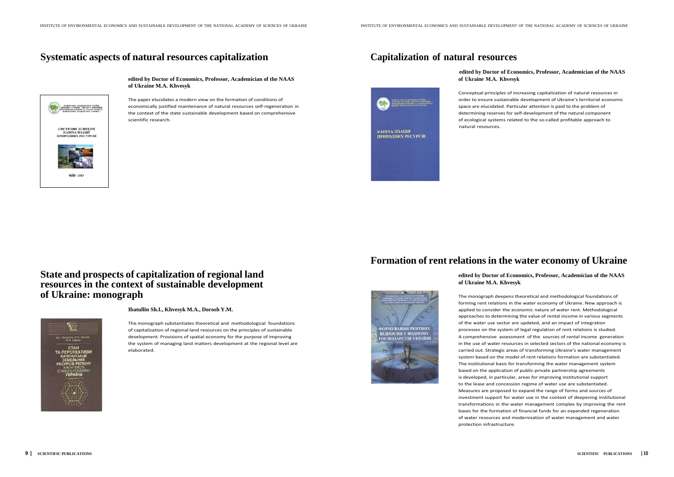## <span id="page-5-0"></span>**Systematic aspects of natural resources capitalization Capitalization of natural resources**



**edited by Doctor of Economics, Professor, Academician of the NAAS of Ukraine M.A. Khvesyk**

## **edited by Doctor of Economics, Professor, Academician of the NAAS of Ukraine M.A. Khvesyk**

The paper elucidates a modern view on the formation of conditions of economically justified maintenance of natural resources self-regeneration in the context of the state sustainable development based on comprehensive scientific research.

Conceptual principles of increasing capitalization of natural resources in order to ensure sustainable development of Ukraine's territorial economic space are elucidated. Particular attention is paid to the problem of determining reserves for self-development of the natural component of ecological systems related to the so-called profitable approach to natural resources.

## **State and prospects of capitalization of regional land resources in the context of sustainable development of Ukraine: monograph**



**Ibatullin Sh.I., Khvesyk M.A., Dorosh Y.M.**

The monograph substantiates theoretical and methodological foundations of capitalization of regional land resources on the principles of sustainable development. Provisions of spatial economy for the purpose of improving the system of managing land matters development at the regional level are elaborated.



**КАПІТАЛІЗАЦІЯ ПРИРОДНИХ РЕСУРСІВ** 

## **Formation of rent relationsin the water economy of Ukraine**

# **edited by Doctor of Economics, Professor, Academician of the NAAS**

**of Ukraine M.A. Khvesyk**

The monograph deepens theoretical and methodological foundations of forming rent relations in the water economy of Ukraine. New approach is applied to consider the economic nature of water rent. Methodological approaches to determining the value of rental income in various segments of the water use sector are updated, and an impact of integration processes on the system of legal regulation of rent relations is studied. A comprehensive assessment of the sources of rental income generation in the use of water resources in selected sectors of the national economy is carried out. Strategic areas of transforming Ukraine's water management system based on the model of rent relations formation are substantiated. The institutional basis for transforming the water management system based on the application of public-private partnership agreements is developed, in particular, areas for improving institutional support to the lease and concession regime of water use are substantiated. Measures are proposed to expand the range of forms and sources of investment support for water use in the context of deepening institutional transformations in the water management complex by improving the rent bases for the formation of financial funds for an expanded regeneration of water resources and modernization of water management and water protection infrastructure.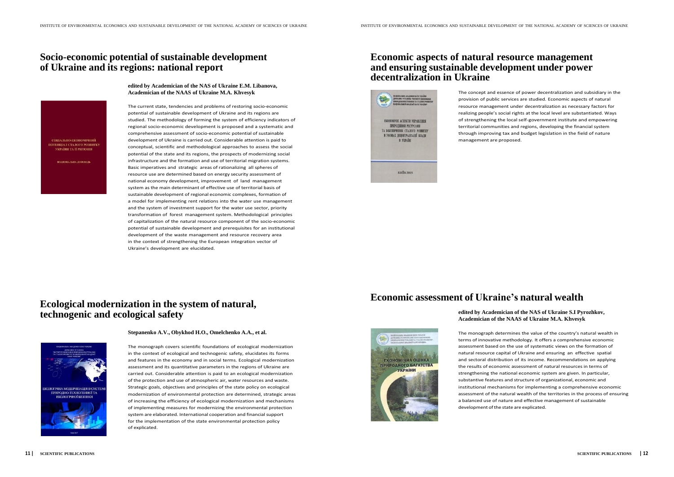## <span id="page-6-0"></span>**Socio-economic potential of sustainable development of Ukraine and its regions: national report**

СОШАЛЬНО-ЕКОНОМІЧНИЙ ПОТЕНЦІАЛ СТАЛОГО РОЗВИТК УКРАЇНИ ТА ЇЇ РЕГІОНІВ

.<br>Настана лоповеть

**edited by Academician of the NAS of Ukraine E.M. Libanova, Academician of the NAAS of Ukraine M.A. Khvesyk**

The current state, tendencies and problems of restoring socio-economic potential of sustainable development of Ukraine and its regions are studied. The methodology of forming the system of efficiency indicators of regional socio-economic development is proposed and a systematic and comprehensive assessment of socio-economic potential of sustainable development of Ukraine is carried out. Considerable attention is paid to conceptual, scientific and methodological approaches to assess the social potential of the state and its regions, the prospects of modernizing social infrastructure and the formation and use of territorial migration systems. Basic imperatives and strategic areas of rationalizing all spheres of resource use are determined based on energy security assessment of national economy development, improvement of land management system as the main determinant of effective use of territorial basis of sustainable development of regional economic complexes, formation of a model for implementing rent relations into the water use management and the system of investment support for the water use sector, priority transformation of forest management system. Methodological principles of capitalization of the natural resource component of the socio-economic potential of sustainable development and prerequisites for an institutional development of the waste management and resource recovery area in the context of strengthening the European integration vector of Ukraine's development are elucidated.

> The monograph determines the value of the country's natural wealth in terms of innovative methodology. It offers a comprehensive economic assessment based on the use of systematic views on the formation of natural resource capital of Ukraine and ensuring an effective spatial and sectoral distribution of its income. Recommendations on applying the results of economic assessment of natural resources in terms of strengthening the national economic system are given. In particular, substantive features and structure of organizational, economic and institutional mechanisms for implementing a comprehensive economic assessment of the natural wealth of the territories in the process of ensuring a balanced use of nature and effective management of sustainable development of the state are explicated.

## **Economic aspects of natural resource management and ensuring sustainable development under power decentralization in Ukraine**



**ЕКОНОМІЧНА ОЦІНКА ПРИРОДНОГО БАГАТСТВ/ УКРАЇНИ** 

The concept and essence of power decentralization and subsidiary in the provision of public services are studied. Economic aspects of natural resource management under decentralization as necessary factors for realizing people's social rights at the local level are substantiated. Ways of strengthening the local self-government institute and empowering territorial communities and regions, developing the financial system through improving tax and budget legislation in the field of nature management are proposed.

## **Ecological modernization in the system of natural, technogenic and ecological safety**



#### **Stepanenko A.V., Obykhod H.O., Omelchenko A.A., et al.**

The monograph covers scientific foundations of ecological modernization in the context of ecological and technogenic safety, elucidates its forms and features in the economy and in social terms. Ecological modernization assessment and its quantitative parameters in the regions of Ukraine are carried out. Considerable attention is paid to an ecological modernization of the protection and use of atmospheric air, water resources and waste. Strategic goals, objectives and principles of the state policy on ecological modernization of environmental protection are determined, strategic areas of increasing the efficiency of ecological modernization and mechanisms of implementing measures for modernizing the environmental protection system are elaborated. International cooperation and financial support for the implementation of the state environmental protection policy of explicated.

## **Economic assessment of Ukraine's natural wealth**

## **edited by Academician of the NAS of Ukraine S.I Pyrozhkov, Academician of the NAAS of Ukraine M.A. Khvesyk**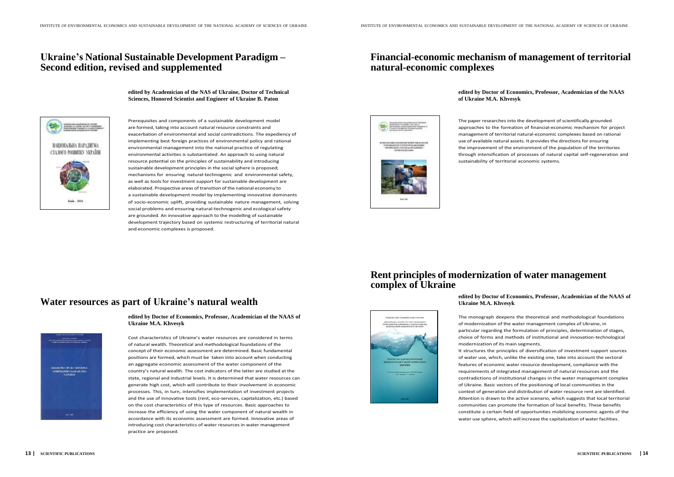## <span id="page-7-0"></span>**Ukraine's National Sustainable Development Paradigm – Second edition, revised and supplemented**

## **Financial-economic mechanism of management of territorial natural-economic complexes**

**edited by Academician of the NAS of Ukraine, Doctor of Technical Sciences, Honored Scientist and Engineer of Ukraine B. Paton**



**edited by Doctor of Economics, Professor, Academician of the NAAS**

# **of Ukraine M.A. Khvesyk**



Prerequisites and components of a sustainable development model are formed, taking into account natural resource constraints and exacerbation of environmental and social contradictions. The expediency of implementing best foreign practices of environmental policy and rational environmental management into the national practice of regulating environmental activities is substantiated. An approach to using natural resource potential on the principles of sustainability and introducing sustainable development principles in the social sphere is proposed; mechanisms for ensuring natural-technogenic and environmental safety, as well as tools for investment support for sustainable development are elaborated. Prospective areas of transition of the national economy to a sustainable development model by implementing innovative dominants of socio-economic uplift, providing sustainable nature management, solving social problems and ensuring natural-technogenic and ecological safety are grounded. An innovative approach to the modelling of sustainable development trajectory based on systemic restructuring of territorial natural and economic complexes is proposed.

The paper researches into the development of scientifically grounded approaches to the formation of financial-economic mechanism for project management of territorial natural-economic complexes based on rational use of available natural assets. It provides the directions for ensuring the improvement of the environment of the population of the territories through intensification of processes of natural capital self-regeneration and sustainability of territorial economic systems.

## **Rent principles of modernization of water management complex of Ukraine**

## **Water resources as part of Ukraine's natural wealth**



## **edited by Doctor of Economics, Professor, Academician of the NAAS of Ukraine M.A. Khvesyk**

Cost characteristics of Ukraine's water resources are considered in terms of natural wealth. Theoretical and methodological foundations of the concept of their economic assessment are determined. Basic fundamental positions are formed, which must be taken into account when conducting an aggregate economic assessment of the water component of the country's natural wealth. The cost indicators of the latter are studied at the state, regional and industrial levels. It is determined that water resources can generate high cost, which will contribute to their involvement in economic processes. This, in turn, intensifies implementation of investment projects and the use of innovative tools (rent, eco-services, capitalization, etc.) based on the cost characteristics of this type of resources. Basic approaches to increase the efficiency of using the water component of natural wealth in accordance with its economic assessment are formed. Innovative areas of introducing cost characteristics of water resources in water management practice are proposed.

## **edited by Doctor of Economics, Professor, Academician of the NAAS of Ukraine M.A. Khvesyk**

The monograph deepens the theoretical and methodological foundations of modernization of the water management complex of Ukraine, in particular regarding the formulation of principles, determination of stages, choice of forms and methods of institutional and innovation-technological

modernization of its main segments.

It structures the principles of diversification of investment support sources of water use, which, unlike the existing one, take into account the sectoral features of economic water resource development, compliance with the requirements of integrated management of natural resources and the contradictions of institutional changes in the water management complex of Ukraine. Basic vectors of the positioning of local communities in the context of generation and distribution of water resource rent are identified. Attention is drawn to the active scenario, which suggests that local territorial communities can promote the formation of local benefits. These benefits constitute a certain field of opportunities mobilizing economic agents of the water use sphere, which will increase the capitalization of water facilities.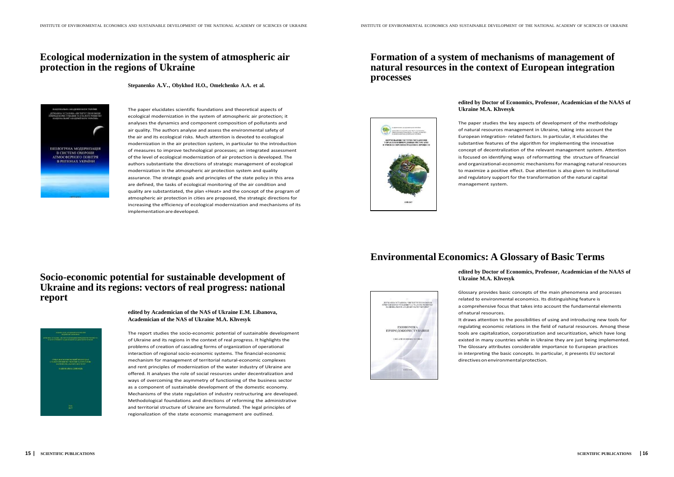The paper elucidates scientific foundations and theoretical aspects of ecological modernization in the system of atmospheric air protection; it analyses the dynamics and component composition of pollutants and air quality. The authors analyse and assess the environmental safety of the air and its ecological risks. Much attention is devoted to ecological modernization in the air protection system, in particular to the introduction of measures to improve technological processes; an integrated assessment of the level of ecological modernization of air protection is developed. The authors substantiate the directions of strategic management of ecological modernization in the atmospheric air protection system and quality assurance. The strategic goals and principles of the state policy in this area are defined, the tasks of ecological monitoring of the air condition and quality are substantiated, the plan «Heat» and the concept of the program of atmospheric air protection in cities are proposed, the strategic directions for increasing the efficiency of ecological modernization and mechanisms of its implementation are developed.

## <span id="page-8-0"></span>**Ecological modernization in the system of atmospheric air protection in the regions of Ukraine**

**Stepanenko А.V., Obykhod H.O., Omelchenko A.A. et al.**



## **Formation of a system of mechanisms of management of natural resources in the context of European integration processes**

## **Socio-economic potential for sustainable development of Ukraine and its regions: vectors of real progress: national report**



**edited by Academician of the NAS of Ukraine E.M. Libanova, Academician of the NAS of Ukraine M.A. Khvesyk**

ofnatural resources. directives on environmental protection.

The report studies the socio-economic potential of sustainable development of Ukraine and its regions in the context of real progress. It highlights the problems of creation of cascading forms of organization of operational interaction of regional socio-economic systems. The financial-economic mechanism for management of territorial natural-economic complexes and rent principles of modernization of the water industry of Ukraine are offered. It analyses the role of social resources under decentralization and ways of overcoming the asymmetry of functioning of the business sector as a component of sustainable development of the domestic economy. Mechanisms of the state regulation of industry restructuring are developed. Methodological foundations and directions of reforming the administrative and territorial structure of Ukraine are formulated. The legal principles of regionalization of the state economic management are outlined.



**edited by Doctor of Economics, Professor, Academician of the NAAS of**

# **Ukraine M.A. Khvesyk**

The paper studies the key aspects of development of the methodology of natural resources management in Ukraine, taking into account the European integration- related factors. In particular, it elucidates the substantive features of the algorithm for implementing the innovative concept of decentralization of the relevant management system. Attention is focused on identifying ways of reformatting the structure of financial and organizational-economic mechanisms for managing natural resources to maximize a positive effect. Due attention is also given to institutional and regulatory support for the transformation of the natural capital management system.

## **Environmental Economics: A Glossary of Basic Terms**

**edited by Doctor of Economics, Professor, Academician of the NAAS of**

# **Ukraine M.A. Khvesyk**

Glossary provides basic concepts of the main phenomena and processes related to environmental economics. Its distinguishing feature is a comprehensive focus that takes into account the fundamental elements

It draws attention to the possibilities of using and introducing new tools for regulating economic relations in the field of natural resources. Among these tools are capitalization, corporatization and securitization, which have long existed in many countries while in Ukraine they are just being implemented. The Glossary attributes considerable importance to European practices in interpreting the basic concepts. In particular, it presents EU sectoral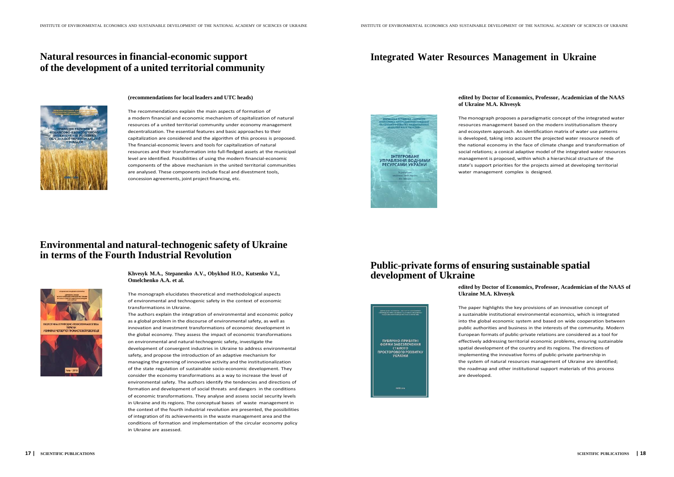## <span id="page-9-0"></span>**Natural resources in financial-economic support of the development of a united territorial community**



## **Integrated Water Resources Management in Ukraine**

# 

**(recommendations for local leaders and UTC heads)**

The recommendations explain the main aspects of formation of a modern financial and economic mechanism of capitalization of natural resources of a united territorial community under economy management decentralization. The essential features and basic approaches to their capitalization are considered and the algorithm of this process is proposed. The financial-economic levers and tools for capitalization of natural resources and their transformation into full-fledged assets at the municipal level are identified. Possibilities of using the modern financial-economic components of the above mechanism in the united territorial communities are analysed. These components include fiscal and divestment tools, concession agreements, joint project financing, etc.

The monograph proposes a paradigmatic concept of the integrated water resources management based on the modern institutionalism theory and ecosystem approach. An identification matrix of water use patterns is developed, taking into account the projected water resource needs of the national economy in the face of climate change and transformation of social relations; a conical adaptive model of the integrated water resources management is proposed, within which a hierarchical structure of the state's support priorities for the projects aimed at developing territorial water management complex is designed.

## **edited by Doctor of Economics, Professor, Academician of the NAAS of Ukraine M.A. Khvesyk**

## **Environmental and natural-technogenic safety of Ukraine in terms of the Fourth Industrial Revolution**



**Khvesyk M.A., Stepanenko A.V., Obykhod H.O., Kutsenko V.I., Omelchenko A.A. et al.**

The monograph elucidates theoretical and methodological aspects of environmental and technogenic safety in the context of economic transformations in Ukraine.

The authors explain the integration of environmental and economic policy as a global problem in the discourse of environmental safety, as well as innovation and investment transformations of economic development in the global economy. They assess the impact of economic transformations on environmental and natural-technogenic safety, investigate the development of convergent industries in Ukraine to address environmental safety, and propose the introduction of an adaptive mechanism for managing the greening of innovative activity and the institutionalization of the state regulation of sustainable socio-economic development. They consider the economy transformations as a way to increase the level of environmental safety. The authors identify the tendencies and directions of formation and development of social threats and dangers in the conditions of economic transformations. They analyse and assess social security levels in Ukraine and its regions. The conceptual bases of waste management in the context of the fourth industrial revolution are presented, the possibilities of integration of its achievements in the waste management area and the conditions of formation and implementation of the circular economy policy in Ukraine are assessed.

## **Public-private forms of ensuring sustainable spatial development of Ukraine**

# **edited by Doctor of Economics, Professor, Academician of the NAAS of**

**Ukraine M.A. Khvesyk**



The paper highlights the key provisions of an innovative concept of a sustainable institutional environmental economics, which is integrated into the global economic system and based on wide cooperation between public authorities and business in the interests of the community. Modern European formats of public-private relations are considered as a tool for effectively addressing territorial economic problems, ensuring sustainable spatial development of the country and its regions. The directions of implementing the innovative forms of public-private partnership in the system of natural resources management of Ukraine are identified; the roadmap and other institutional support materials of this process are developed.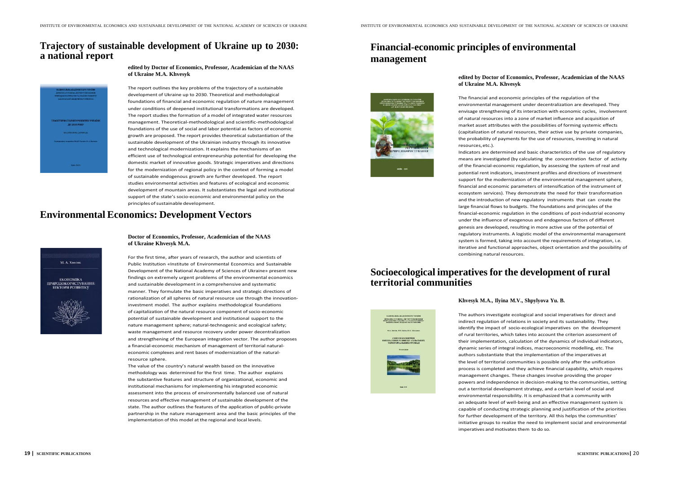The report outlines the key problems of the trajectory of a sustainable development of Ukraine up to 2030. Theoretical and methodological foundations of financial and economic regulation of nature management under conditions of deepened institutional transformations are developed. The report studies the formation of a model of integrated water resources management. Theoretical-methodological and scientific-methodological foundations of the use of social and labor potential as factors of economic growth are proposed. The report provides theoretical substantiation of the sustainable development of the Ukrainian industry through its innovative and technological modernization. It explains the mechanisms of an efficient use of technological entrepreneurship potential for developing the domestic market of innovative goods. Strategic imperatives and directions for the modernization of regional policy in the context of forming a model of sustainable endogenous growth are further developed. The report studies environmental activities and features of ecological and economic development of mountain areas. It substantiates the legal and institutional support of the state's socio-economic and environmental policy on the principles of sustainable development.

## <span id="page-10-0"></span>**Trajectory of sustainable development of Ukraine up to 2030: a national report**





## **Environmental Economics: Development Vectors**



**Doctor of Economics, Professor, Academician of the NAAS of Ukraine Khvesyk M.A.**

Indicators are determined and basic characteristics of the use of regulatory means are investigated (by calculating the concentration factor of activity of the financial-economic regulation, by assessing the system of real and potential rent indicators, investment profiles and directions of investment support for the modernization of the environmental management sphere, financial and economic parameters of intensification of the instrument of ecosystem services). They demonstrate the need for their transformation and the introduction of new regulatory instruments that can create the large financial flows to budgets. The foundations and principles of the financial-economic regulation in the conditions of post-industrial economy under the influence of exogenous and endogenous factors of different genesis are developed, resulting in more active use of the potential of regulatory instruments. A logistic model of the environmental management system is formed, taking into account the requirements of integration, i.e. iterative and functional approaches, object orientation and the possibility of combining natural resources.

For the first time, after years of research, the author and scientists of Public Institution «Institute of Environmental Economics and Sustainable Development of the National Academy of Sciences of Ukraine» present new findings on extremely urgent problems of the environmental economics and sustainable development in a comprehensive and systematic manner. They formulate the basic imperatives and strategic directions of rationalization of all spheres of natural resource use through the innovationinvestment model. The author explains methodological foundations of capitalization of the natural resource component of socio-economic potential of sustainable development and institutional support to the nature management sphere; natural-technogenic and ecological safety; waste management and resource recovery under power decentralization and strengthening of the European integration vector. The author proposes a financial-economic mechanism of management of territorial naturaleconomic complexes and rent bases of modernization of the naturalresource sphere.

The value of the country's natural wealth based on the innovative methodology was determined for the first time. The author explains the substantive features and structure of organizational, economic and institutional mechanisms for implementing his integrated economic assessment into the process of environmentally balanced use of natural resources and effective management of sustainable development of the state. The author outlines the features of the application of public-private partnership in the nature management area and the basic principles of the implementation of this model at the regional and local levels.



## **Financial-economic principles of environmental**

**management**

## **edited by Doctor of Economics, Professor, Academician of the NAAS of Ukraine M.A. Khvesyk**

The financial and economic principles of the regulation of the environmental management under decentralization are developed. They envisage strengthening of its interaction with economic cycles, involvement of natural resources into a zone of market influence and acquisition of market asset attributes with the possibilities of forming systemic effects (capitalization of natural resources, their active use by private companies, the probability of payments for the use of resources, investing in natural resources,etc.).

## **Socioecological imperatives for the development of rural territorial communities**

#### **Khvesyk M.A., Ilyina M.V., Shpylyova Yu. B.**

**MERAMBA YCTABOBA «BICTHEFT EKOHOMIKI)**<br>FIIPOJOKOFBETYRAHIM TA CTAJOFO FOMBETK

The authors investigate ecological and social imperatives for direct and indirect regulation of relations in society and its sustainability. They identify the impact of socio-ecological imperatives on the development of rural territories, which takes into account the criterion assessment of their implementation, calculation of the dynamics of individual indicators, dynamic series of integral indices, macroeconomic modelling, etc. The authors substantiate that the implementation of the imperatives at the level of territorial communities is possible only after the unification process is completed and they achieve financial capability, which requires management changes. These changes involve providing the proper powers and independence in decision-making to the communities, setting out a territorial development strategy, and a certain level of social and environmental responsibility. It is emphasized that a community with an adequate level of well-being and an effective management system is capable of conducting strategic planning and justification of the priorities for further development of the territory. All this helps the communities' initiative groups to realize the need to implement social and environmental imperatives and motivates them to do so.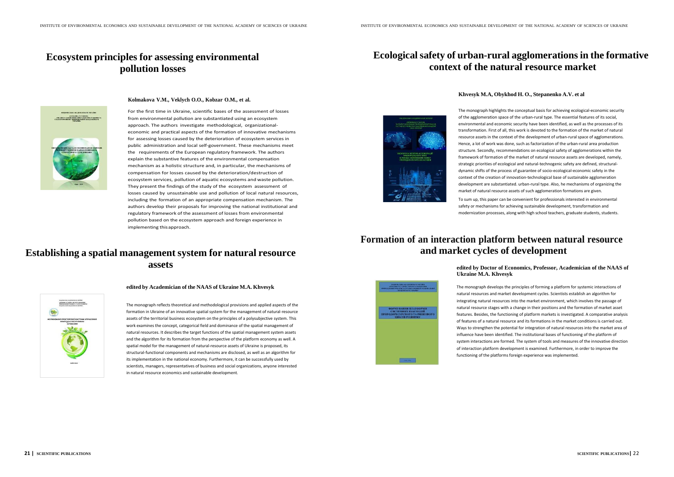## <span id="page-11-0"></span>**Ecosystem principles for assessing environmental pollution losses**

## **Ecological safety of urban-rural agglomerationsin the formative context of the natural resource market**



**Kolmakova V.M., Veklych O.O., Kobzar O.M., et al.**

For the first time in Ukraine, scientific bases of the assessment of losses from environmental pollution are substantiated using an ecosystem approach. The authors investigate methodological, organizationaleconomic and practical aspects of the formation of innovative mechanisms for assessing losses caused by the deterioration of ecosystem services in public administration and local self-government. These mechanisms meet the requirements of the European regulatory framework. The authors explain the substantive features of the environmental compensation mechanism as a holistic structure and, in particular, the mechanisms of compensation for losses caused by the deterioration/destruction of ecosystem services, pollution of aquatic ecosystems and waste pollution. They present the findings of the study of the ecosystem assessment of losses caused by unsustainable use and pollution of local natural resources, including the formation of an appropriate compensation mechanism. The authors develop their proposals for improving the national institutional and regulatory framework of the assessment of losses from environmental pollution based on the ecosystem approach and foreign experience in implementing thisapproach.



## **Establishing a spatial management system for natural resource assets**



**edited by Academician of the NAAS of Ukraine M.A. Khvesyk**

The monograph reflects theoretical and methodological provisions and applied aspects of the formation in Ukraine of an innovative spatial system for the management of natural-resource assets of the territorial business ecosystem on the principles of a polysubjective system. This work examines the concept, categorical field and dominance of the spatial management of natural resources. It describes the target functions of the spatial management system assets and the algorithm for its formation from the perspective of the platform economy as well. A spatial model for the management of natural-resource assets of Ukraine is proposed, its structural-functional components and mechanisms are disclosed, as well as an algorithm for its implementation in the national economy. Furthermore, it can be successfully used by scientists, managers, representatives of business and social organizations, anyone interested in natural resource economics and sustainable development.

#### **Khvesyk M.A, Obykhod H. O., Stepanenko A.V. et al**

The monograph highlights the conceptual basis for achieving ecological-economic security of the agglomeration space of the urban-rural type. The essential features of its social, environmental and economic security have been identified, as well as the processes of its transformation. First of all, this work is devoted to the formation of the market of natural resource assets in the context of the development of urban-rural space of agglomerations. Hence, a lot of work was done, such as factorization of the urban-rural area production structure. Secondly, recommendations on ecological safety of agglomerations within the framework of formation of the market of natural resource assets are developed, namely, strategic priorities of ecological and natural-technogenic safety are defined, structuraldynamic shifts of the process of guarantee of socio-ecological-economic safety in the context of the creation of innovation-technological base of sustainable agglomeration development are substantiated. urban-rural type. Also, he mechanisms of organizing the market of natural resource assets of such agglomeration formations are given.

To sum up, this paper can be convenient for professionals interested in environmental safety or mechanisms for achieving sustainable development, transformation and modernization processes, along with high school teachers, graduate students, students.

## **Formation of an interaction platform between natural resource and market cycles of development**

# **edited by Doctor of Economics, Professor, Academician of the NAAS of**

**Ukraine M.A. Khvesyk**

The monograph develops the principles of forming a platform for systemic interactions of natural resources and market development cycles. Scientists establish an algorithm for integrating natural resources into the market environment, which involves the passage of natural resource stages with a change in their positions and the formation of market asset features. Besides, the functioning of platform markets is investigated. A comparative analysis of features of a natural resource and its formations in the market conditions is carried out. Ways to strengthen the potential for integration of natural resources into the market area of influence have been identified. The institutional bases of functioning of the platform of system interactions are formed. The system of tools and measures of the innovative direction of interaction platform development is examined. Furthermore, in order to improve the functioning of the platforms foreign experience was implemented.